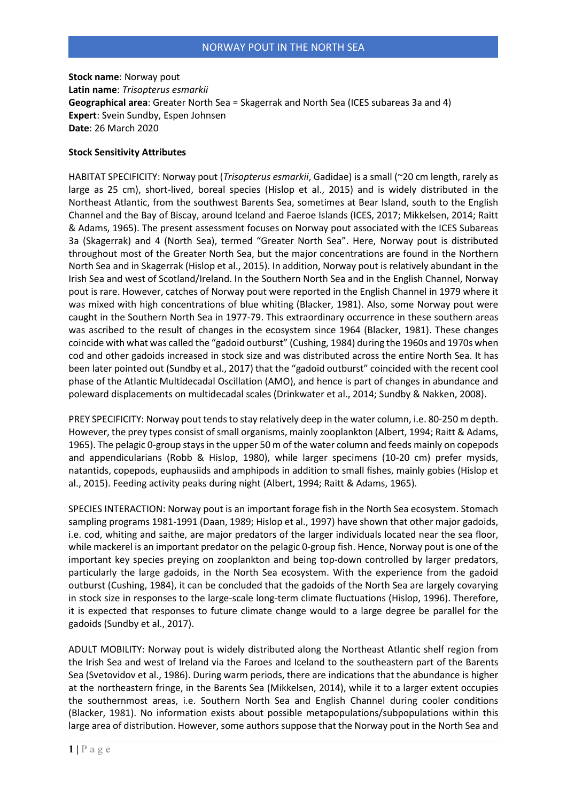**Stock name**: Norway pout **Latin name**: *Trisopterus esmarkii* **Geographical area**: Greater North Sea = Skagerrak and North Sea (ICES subareas 3a and 4) **Expert**: Svein Sundby, Espen Johnsen **Date**: 26 March 2020

## **Stock Sensitivity Attributes**

HABITAT SPECIFICITY: Norway pout (*Trisopterus esmarkii*, Gadidae) is a small (~20 cm length, rarely as large as 25 cm), short-lived, boreal species (Hislop et al., 2015) and is widely distributed in the Northeast Atlantic, from the southwest Barents Sea, sometimes at Bear Island, south to the English Channel and the Bay of Biscay, around Iceland and Faeroe Islands (ICES, 2017; Mikkelsen, 2014; Raitt & Adams, 1965). The present assessment focuses on Norway pout associated with the ICES Subareas 3a (Skagerrak) and 4 (North Sea), termed "Greater North Sea". Here, Norway pout is distributed throughout most of the Greater North Sea, but the major concentrations are found in the Northern North Sea and in Skagerrak (Hislop et al., 2015). In addition, Norway pout is relatively abundant in the Irish Sea and west of Scotland/Ireland. In the Southern North Sea and in the English Channel, Norway pout is rare. However, catches of Norway pout were reported in the English Channel in 1979 where it was mixed with high concentrations of blue whiting (Blacker, 1981). Also, some Norway pout were caught in the Southern North Sea in 1977-79. This extraordinary occurrence in these southern areas was ascribed to the result of changes in the ecosystem since 1964 (Blacker, 1981). These changes coincide with what was called the "gadoid outburst" (Cushing, 1984) during the 1960s and 1970s when cod and other gadoids increased in stock size and was distributed across the entire North Sea. It has been later pointed out (Sundby et al., 2017) that the "gadoid outburst" coincided with the recent cool phase of the Atlantic Multidecadal Oscillation (AMO), and hence is part of changes in abundance and poleward displacements on multidecadal scales (Drinkwater et al., 2014; Sundby & Nakken, 2008).

PREY SPECIFICITY: Norway pout tends to stay relatively deep in the water column, i.e. 80-250 m depth. However, the prey types consist of small organisms, mainly zooplankton (Albert, 1994; Raitt & Adams, 1965). The pelagic 0-group stays in the upper 50 m of the water column and feeds mainly on copepods and appendicularians (Robb & Hislop, 1980), while larger specimens (10-20 cm) prefer mysids, natantids, copepods, euphausiids and amphipods in addition to small fishes, mainly gobies (Hislop et al., 2015). Feeding activity peaks during night (Albert, 1994; Raitt & Adams, 1965).

SPECIES INTERACTION: Norway pout is an important forage fish in the North Sea ecosystem. Stomach sampling programs 1981-1991 (Daan, 1989; Hislop et al., 1997) have shown that other major gadoids, i.e. cod, whiting and saithe, are major predators of the larger individuals located near the sea floor, while mackerel is an important predator on the pelagic 0-group fish. Hence, Norway pout is one of the important key species preying on zooplankton and being top-down controlled by larger predators, particularly the large gadoids, in the North Sea ecosystem. With the experience from the gadoid outburst (Cushing, 1984), it can be concluded that the gadoids of the North Sea are largely covarying in stock size in responses to the large-scale long-term climate fluctuations (Hislop, 1996). Therefore, it is expected that responses to future climate change would to a large degree be parallel for the gadoids (Sundby et al., 2017).

ADULT MOBILITY: Norway pout is widely distributed along the Northeast Atlantic shelf region from the Irish Sea and west of Ireland via the Faroes and Iceland to the southeastern part of the Barents Sea (Svetovidov et al., 1986). During warm periods, there are indications that the abundance is higher at the northeastern fringe, in the Barents Sea (Mikkelsen, 2014), while it to a larger extent occupies the southernmost areas, i.e. Southern North Sea and English Channel during cooler conditions (Blacker, 1981). No information exists about possible metapopulations/subpopulations within this large area of distribution. However, some authors suppose that the Norway pout in the North Sea and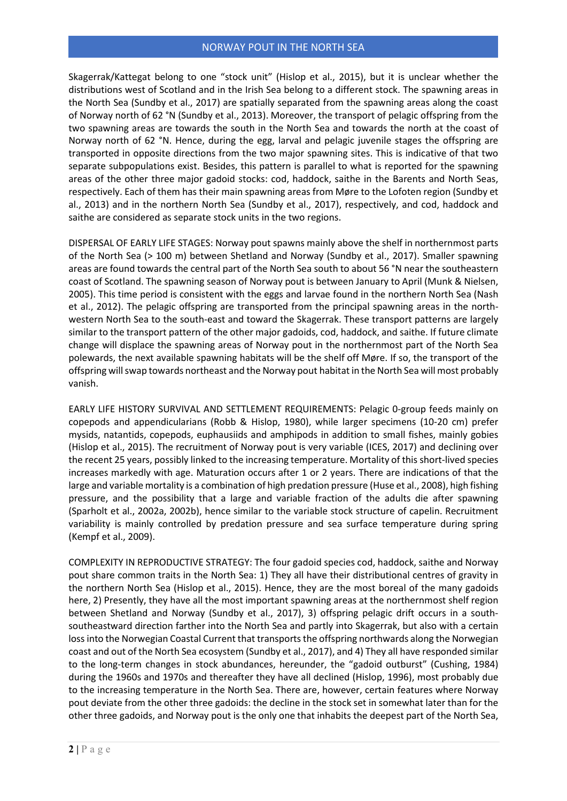Skagerrak/Kattegat belong to one "stock unit" (Hislop et al., 2015), but it is unclear whether the distributions west of Scotland and in the Irish Sea belong to a different stock. The spawning areas in the North Sea (Sundby et al., 2017) are spatially separated from the spawning areas along the coast of Norway north of 62 °N (Sundby et al., 2013). Moreover, the transport of pelagic offspring from the two spawning areas are towards the south in the North Sea and towards the north at the coast of Norway north of 62 °N. Hence, during the egg, larval and pelagic juvenile stages the offspring are transported in opposite directions from the two major spawning sites. This is indicative of that two separate subpopulations exist. Besides, this pattern is parallel to what is reported for the spawning areas of the other three major gadoid stocks: cod, haddock, saithe in the Barents and North Seas, respectively. Each of them has their main spawning areas from Møre to the Lofoten region (Sundby et al., 2013) and in the northern North Sea (Sundby et al., 2017), respectively, and cod, haddock and saithe are considered as separate stock units in the two regions.

DISPERSAL OF EARLY LIFE STAGES: Norway pout spawns mainly above the shelf in northernmost parts of the North Sea (> 100 m) between Shetland and Norway (Sundby et al., 2017). Smaller spawning areas are found towards the central part of the North Sea south to about 56 °N near the southeastern coast of Scotland. The spawning season of Norway pout is between January to April (Munk & Nielsen, 2005). This time period is consistent with the eggs and larvae found in the northern North Sea (Nash et al., 2012). The pelagic offspring are transported from the principal spawning areas in the northwestern North Sea to the south-east and toward the Skagerrak. These transport patterns are largely similar to the transport pattern of the other major gadoids, cod, haddock, and saithe. If future climate change will displace the spawning areas of Norway pout in the northernmost part of the North Sea polewards, the next available spawning habitats will be the shelf off Møre. If so, the transport of the offspring will swap towards northeast and the Norway pout habitat in the North Sea will most probably vanish.

EARLY LIFE HISTORY SURVIVAL AND SETTLEMENT REQUIREMENTS: Pelagic 0-group feeds mainly on copepods and appendicularians (Robb & Hislop, 1980), while larger specimens (10-20 cm) prefer mysids, natantids, copepods, euphausiids and amphipods in addition to small fishes, mainly gobies (Hislop et al., 2015). The recruitment of Norway pout is very variable (ICES, 2017) and declining over the recent 25 years, possibly linked to the increasing temperature. Mortality of this short-lived species increases markedly with age. Maturation occurs after 1 or 2 years. There are indications of that the large and variable mortality is a combination of high predation pressure (Huse et al., 2008), high fishing pressure, and the possibility that a large and variable fraction of the adults die after spawning (Sparholt et al., 2002a, 2002b), hence similar to the variable stock structure of capelin. Recruitment variability is mainly controlled by predation pressure and sea surface temperature during spring (Kempf et al., 2009).

COMPLEXITY IN REPRODUCTIVE STRATEGY: The four gadoid species cod, haddock, saithe and Norway pout share common traits in the North Sea: 1) They all have their distributional centres of gravity in the northern North Sea (Hislop et al., 2015). Hence, they are the most boreal of the many gadoids here, 2) Presently, they have all the most important spawning areas at the northernmost shelf region between Shetland and Norway (Sundby et al., 2017), 3) offspring pelagic drift occurs in a southsoutheastward direction farther into the North Sea and partly into Skagerrak, but also with a certain loss into the Norwegian Coastal Current that transports the offspring northwards along the Norwegian coast and out of the North Sea ecosystem (Sundby et al., 2017), and 4) They all have responded similar to the long-term changes in stock abundances, hereunder, the "gadoid outburst" (Cushing, 1984) during the 1960s and 1970s and thereafter they have all declined (Hislop, 1996), most probably due to the increasing temperature in the North Sea. There are, however, certain features where Norway pout deviate from the other three gadoids: the decline in the stock set in somewhat later than for the other three gadoids, and Norway pout is the only one that inhabits the deepest part of the North Sea,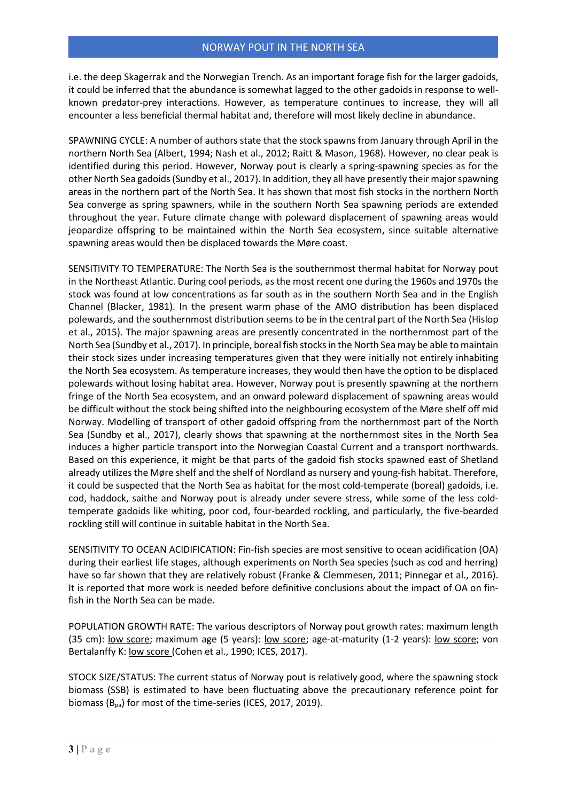i.e. the deep Skagerrak and the Norwegian Trench. As an important forage fish for the larger gadoids, it could be inferred that the abundance is somewhat lagged to the other gadoids in response to wellknown predator-prey interactions. However, as temperature continues to increase, they will all encounter a less beneficial thermal habitat and, therefore will most likely decline in abundance.

SPAWNING CYCLE: A number of authors state that the stock spawns from January through April in the northern North Sea (Albert, 1994; Nash et al., 2012; Raitt & Mason, 1968). However, no clear peak is identified during this period. However, Norway pout is clearly a spring-spawning species as for the other North Sea gadoids (Sundby et al., 2017). In addition, they all have presently their major spawning areas in the northern part of the North Sea. It has shown that most fish stocks in the northern North Sea converge as spring spawners, while in the southern North Sea spawning periods are extended throughout the year. Future climate change with poleward displacement of spawning areas would jeopardize offspring to be maintained within the North Sea ecosystem, since suitable alternative spawning areas would then be displaced towards the Møre coast.

SENSITIVITY TO TEMPERATURE: The North Sea is the southernmost thermal habitat for Norway pout in the Northeast Atlantic. During cool periods, as the most recent one during the 1960s and 1970s the stock was found at low concentrations as far south as in the southern North Sea and in the English Channel (Blacker, 1981). In the present warm phase of the AMO distribution has been displaced polewards, and the southernmost distribution seems to be in the central part of the North Sea (Hislop et al., 2015). The major spawning areas are presently concentrated in the northernmost part of the North Sea (Sundby et al., 2017). In principle, boreal fish stocks in the North Sea may be able to maintain their stock sizes under increasing temperatures given that they were initially not entirely inhabiting the North Sea ecosystem. As temperature increases, they would then have the option to be displaced polewards without losing habitat area. However, Norway pout is presently spawning at the northern fringe of the North Sea ecosystem, and an onward poleward displacement of spawning areas would be difficult without the stock being shifted into the neighbouring ecosystem of the Møre shelf off mid Norway. Modelling of transport of other gadoid offspring from the northernmost part of the North Sea (Sundby et al., 2017), clearly shows that spawning at the northernmost sites in the North Sea induces a higher particle transport into the Norwegian Coastal Current and a transport northwards. Based on this experience, it might be that parts of the gadoid fish stocks spawned east of Shetland already utilizes the Møre shelf and the shelf of Nordland as nursery and young-fish habitat. Therefore, it could be suspected that the North Sea as habitat for the most cold-temperate (boreal) gadoids, i.e. cod, haddock, saithe and Norway pout is already under severe stress, while some of the less coldtemperate gadoids like whiting, poor cod, four-bearded rockling, and particularly, the five-bearded rockling still will continue in suitable habitat in the North Sea.

SENSITIVITY TO OCEAN ACIDIFICATION: Fin-fish species are most sensitive to ocean acidification (OA) during their earliest life stages, although experiments on North Sea species (such as cod and herring) have so far shown that they are relatively robust (Franke & Clemmesen, 2011; Pinnegar et al., 2016). It is reported that more work is needed before definitive conclusions about the impact of OA on finfish in the North Sea can be made.

POPULATION GROWTH RATE: The various descriptors of Norway pout growth rates: maximum length (35 cm): low score; maximum age (5 years): low score; age-at-maturity (1-2 years): low score; von Bertalanffy K: low score (Cohen et al., 1990; ICES, 2017).

STOCK SIZE/STATUS: The current status of Norway pout is relatively good, where the spawning stock biomass (SSB) is estimated to have been fluctuating above the precautionary reference point for biomass ( $B_{pa}$ ) for most of the time-series (ICES, 2017, 2019).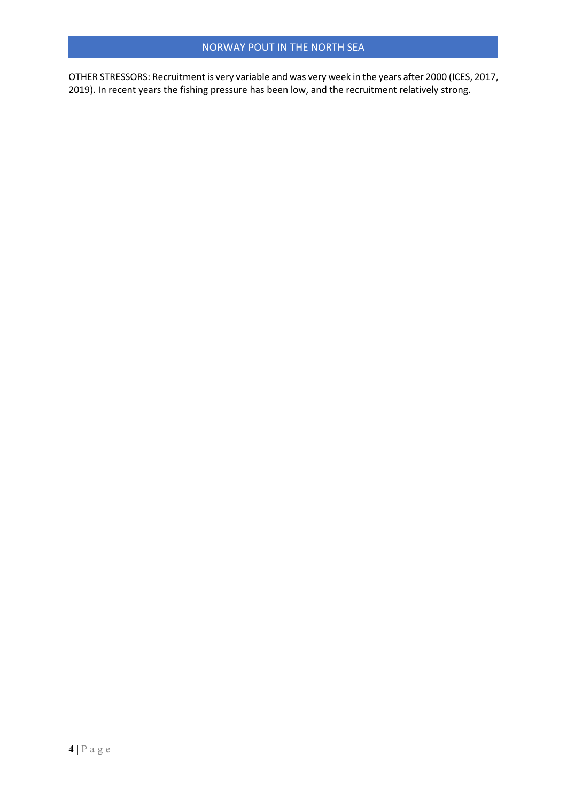OTHER STRESSORS: Recruitment is very variable and was very week in the years after 2000 (ICES, 2017, 2019). In recent years the fishing pressure has been low, and the recruitment relatively strong.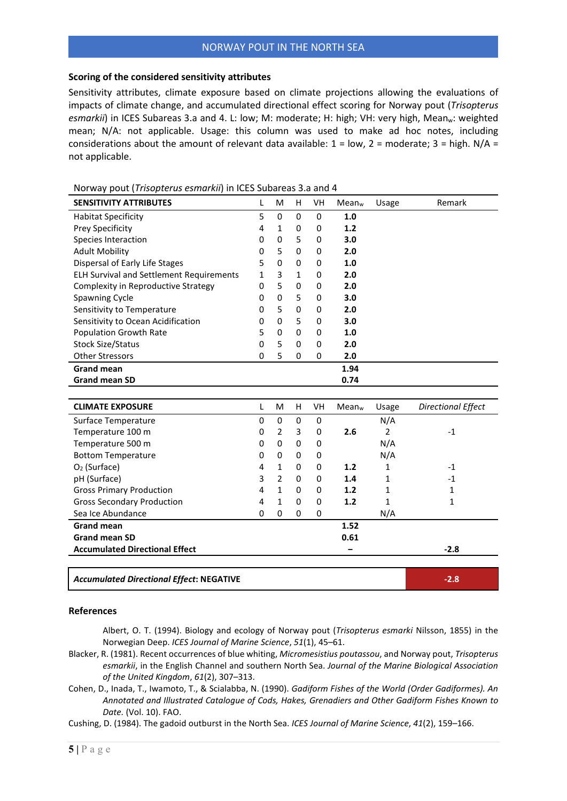## **Scoring of the considered sensitivity attributes**

Sensitivity attributes, climate exposure based on climate projections allowing the evaluations of impacts of climate change, and accumulated directional effect scoring for Norway pout (*Trisopterus*  esmarkii) in ICES Subareas 3.a and 4. L: low; M: moderate; H: high; VH: very high, Mean<sub>w</sub>: weighted mean; N/A: not applicable. Usage: this column was used to make ad hoc notes, including considerations about the amount of relevant data available:  $1 = low$ ,  $2 = moderate$ ;  $3 = high$ .  $N/A =$ not applicable.

| <b>SENSITIVITY ATTRIBUTES</b>                   | L            | M              | Н            | VH          | Mean <sub>w</sub> | Usage          | Remark                    |
|-------------------------------------------------|--------------|----------------|--------------|-------------|-------------------|----------------|---------------------------|
| <b>Habitat Specificity</b>                      | 5            | 0              | $\mathbf 0$  | $\mathbf 0$ | 1.0               |                |                           |
| Prey Specificity                                | 4            | $\mathbf{1}$   | 0            | $\mathbf 0$ | 1.2               |                |                           |
| Species Interaction                             | 0            | 0              | 5            | 0           | 3.0               |                |                           |
| <b>Adult Mobility</b>                           | 0            | 5              | 0            | 0           | 2.0               |                |                           |
| Dispersal of Early Life Stages                  | 5            | $\Omega$       | $\mathbf 0$  | 0           | 1.0               |                |                           |
| <b>ELH Survival and Settlement Requirements</b> | $\mathbf{1}$ | 3              | $\mathbf{1}$ | 0           | 2.0               |                |                           |
| Complexity in Reproductive Strategy             | 0            | 5              | $\pmb{0}$    | 0           | 2.0               |                |                           |
| <b>Spawning Cycle</b>                           | 0            | 0              | 5            | 0           | 3.0               |                |                           |
| Sensitivity to Temperature                      | 0            | 5              | 0            | 0           | 2.0               |                |                           |
| Sensitivity to Ocean Acidification              | 0            | 0              | 5            | 0           | 3.0               |                |                           |
| <b>Population Growth Rate</b>                   | 5            | 0              | $\mathbf 0$  | 0           | 1.0               |                |                           |
| Stock Size/Status                               | 0            | 5              | $\mathbf 0$  | 0           | 2.0               |                |                           |
| <b>Other Stressors</b>                          | 0            | 5              | $\Omega$     | 0           | 2.0               |                |                           |
| <b>Grand mean</b>                               |              |                |              |             | 1.94              |                |                           |
| <b>Grand mean SD</b>                            |              |                |              |             | 0.74              |                |                           |
|                                                 |              |                |              |             |                   |                |                           |
| <b>CLIMATE EXPOSURE</b>                         | L            | M              | H            | <b>VH</b>   | Mean <sub>w</sub> | Usage          | <b>Directional Effect</b> |
| Surface Temperature                             | 0            | $\mathbf 0$    | 0            | $\mathbf 0$ |                   | N/A            |                           |
| Temperature 100 m                               | 0            | $\overline{2}$ | 3            | 0           | 2.6               | $\overline{2}$ | $-1$                      |
| Temperature 500 m                               | 0            | $\Omega$       | $\mathbf 0$  | 0           |                   | N/A            |                           |
| <b>Bottom Temperature</b>                       | 0            | 0              | $\mathbf 0$  | 0           |                   | N/A            |                           |
| $O2$ (Surface)                                  | 4            | $\mathbf{1}$   | 0            | 0           | 1.2               | 1              | $-1$                      |
| pH (Surface)                                    | 3            | $\overline{2}$ | 0            | 0           | 1.4               | 1              | $-1$                      |
| <b>Gross Primary Production</b>                 | 4            | $\mathbf{1}$   | 0            | 0           | 1.2               | 1              | 1                         |
| <b>Gross Secondary Production</b>               | 4            | $\mathbf{1}$   | $\mathbf 0$  | 0           | 1.2               | 1              | 1                         |
| Sea Ice Abundance                               | $\Omega$     | $\Omega$       | $\mathbf 0$  | $\mathbf 0$ |                   | N/A            |                           |
| <b>Grand mean</b>                               |              |                |              |             | 1.52              |                |                           |
| <b>Grand mean SD</b>                            |              |                |              |             | 0.61              |                |                           |
| <b>Accumulated Directional Effect</b>           |              |                |              |             |                   |                | $-2.8$                    |
|                                                 |              |                |              |             |                   |                |                           |
| <b>Accumulated Directional Effect: NEGATIVE</b> |              |                |              |             |                   |                | $-2.8$                    |

Norway pout (*Trisopterus esmarkii*) in ICES Subareas 3.a and 4

## **References**

Albert, O. T. (1994). Biology and ecology of Norway pout (*Trisopterus esmarki* Nilsson, 1855) in the Norwegian Deep. *ICES Journal of Marine Science*, *51*(1), 45–61.

- Blacker, R. (1981). Recent occurrences of blue whiting, *Micromesistius poutassou*, and Norway pout, *Trisopterus esmarkii*, in the English Channel and southern North Sea. *Journal of the Marine Biological Association of the United Kingdom*, *61*(2), 307–313.
- Cohen, D., Inada, T., Iwamoto, T., & Scialabba, N. (1990). *Gadiform Fishes of the World (Order Gadiformes). An Annotated and Illustrated Catalogue of Cods, Hakes, Grenadiers and Other Gadiform Fishes Known to Date.* (Vol. 10). FAO.

Cushing, D. (1984). The gadoid outburst in the North Sea. *ICES Journal of Marine Science*, *41*(2), 159–166.